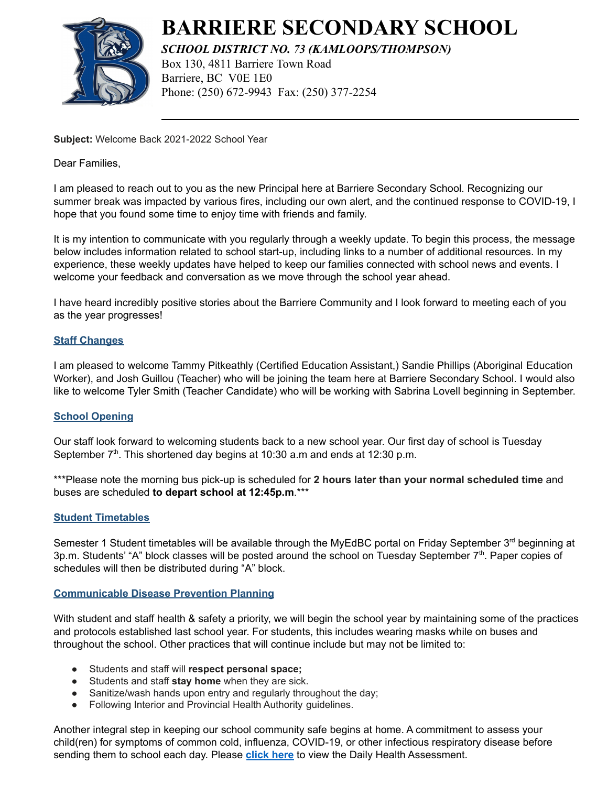

# **BARRIERE SECONDARY SCHOOL**

*SCHOOL DISTRICT NO. 73 (KAMLOOPS/THOMPSON)* Box 130, 4811 Barriere Town Road Barriere, BC V0E 1E0 Phone: (250) 672-9943 Fax: (250) 377-2254

**Subject:** Welcome Back 2021-2022 School Year

Dear Families,

I am pleased to reach out to you as the new Principal here at Barriere Secondary School. Recognizing our summer break was impacted by various fires, including our own alert, and the continued response to COVID-19, I hope that you found some time to enjoy time with friends and family.

It is my intention to communicate with you regularly through a weekly update. To begin this process, the message below includes information related to school start-up, including links to a number of additional resources. In my experience, these weekly updates have helped to keep our families connected with school news and events. I welcome your feedback and conversation as we move through the school year ahead.

I have heard incredibly positive stories about the Barriere Community and I look forward to meeting each of you as the year progresses!

## **Staff Changes**

I am pleased to welcome Tammy Pitkeathly (Certified Education Assistant,) Sandie Phillips (Aboriginal Education Worker), and Josh Guillou (Teacher) who will be joining the team here at Barriere Secondary School. I would also like to welcome Tyler Smith (Teacher Candidate) who will be working with Sabrina Lovell beginning in September.

## **School Opening**

Our staff look forward to welcoming students back to a new school year. Our first day of school is Tuesday September  $7<sup>th</sup>$ . This shortened day begins at 10:30 a.m and ends at 12:30 p.m.

\*\*\*Please note the morning bus pick-up is scheduled for **2 hours later than your normal scheduled time** and buses are scheduled **to depart school at 12:45p.m**.\*\*\*

## **Student Timetables**

Semester 1 Student timetables will be available through the MyEdBC portal on Friday September  $3<sup>rd</sup>$  beginning at 3p.m. Students' "A" block classes will be posted around the school on Tuesday September 7<sup>th</sup>. Paper copies of schedules will then be distributed during "A" block.

## **Communicable Disease Prevention Planning**

With student and staff health & safety a priority, we will begin the school year by maintaining some of the practices and protocols established last school year. For students, this includes wearing masks while on buses and throughout the school. Other practices that will continue include but may not be limited to:

- Students and staff will **respect personal space;**
- Students and staff **stay home** when they are sick.
- Sanitize/wash hands upon entry and regularly throughout the day;
- Following Interior and Provincial Health Authority guidelines.

Another integral step in keeping our school community safe begins at home. A commitment to assess your child(ren) for symptoms of common cold, influenza, COVID-19, or other infectious respiratory disease before sending them to school each day. Please **[click here](https://barrsec.sd73.bc.ca/en/parents-students-support-help/how-health-checks-work.aspx)** to view the Daily Health Assessment.